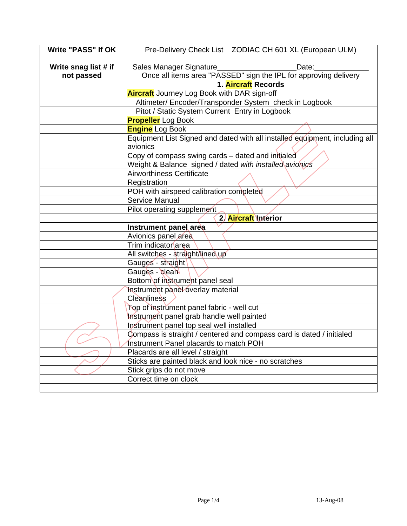| <b>Write "PASS" If OK</b> | Pre-Delivery Check List  ZODIAC CH 601 XL (European ULM)                    |
|---------------------------|-----------------------------------------------------------------------------|
| Write snag list # if      | Sales Manager Signature_<br>Date:                                           |
| not passed                | Once all items area "PASSED" sign the IPL for approving delivery            |
|                           | 1. Aircraft Records                                                         |
|                           | <b>Aircraft</b> Journey Log Book with DAR sign-off                          |
|                           | Altimeter/ Encoder/Transponder System check in Logbook                      |
|                           | Pitot / Static System Current Entry in Logbook                              |
|                           | <b>Propeller</b> Log Book                                                   |
|                           | <b>Engine</b> Log Book                                                      |
|                           | Equipment List Signed and dated with all installed equipment, including all |
|                           | avionics                                                                    |
|                           | Copy of compass swing cards - dated and initialed                           |
|                           | Weight & Balance signed / dated with installed avionics                     |
|                           | <b>Airworthiness Certificate</b>                                            |
|                           | Registration                                                                |
|                           | POH with airspeed calibration completed                                     |
|                           | <b>Service Manual</b>                                                       |
|                           | Pilot operating supplement                                                  |
|                           | 2. Aircraft Interior                                                        |
|                           | Instrument panel area                                                       |
|                           | Avionics panel area                                                         |
|                           | Trim indicator area                                                         |
|                           | All switches - straight/lined up                                            |
|                           | Gauges - straight                                                           |
|                           | Gauges - clean                                                              |
|                           | Bottom of instrument panel seal                                             |
|                           | Instrument panel overlay material                                           |
|                           | Cleanliness                                                                 |
|                           | Top of instrument panel fabric - well cut                                   |
|                           | Instrument panel grab handle well painted                                   |
|                           | Instrument panel top seal well installed                                    |
|                           | Compass is straight / centered and compass card is dated / initialed        |
|                           | Instrument Panel placards to match POH                                      |
|                           | Placards are all level / straight                                           |
|                           | Sticks are painted black and look nice - no scratches                       |
|                           | Stick grips do not move                                                     |
|                           | Correct time on clock                                                       |
|                           |                                                                             |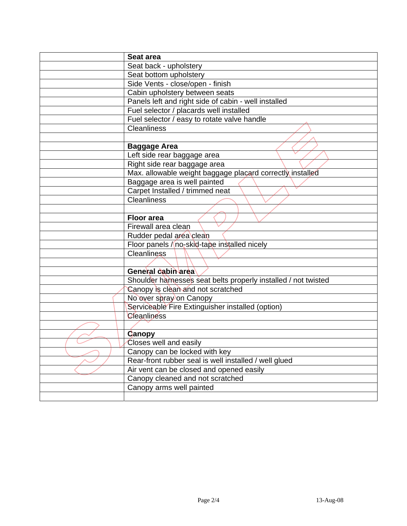| Seat area                                                      |
|----------------------------------------------------------------|
| Seat back - upholstery                                         |
|                                                                |
| Seat bottom upholstery                                         |
| Side Vents - close/open - finish                               |
| Cabin upholstery between seats                                 |
| Panels left and right side of cabin - well installed           |
| Fuel selector / placards well installed                        |
| Fuel selector / easy to rotate valve handle                    |
| <b>Cleanliness</b>                                             |
|                                                                |
| <b>Baggage Area</b>                                            |
| Left side rear baggage area                                    |
| Right side rear baggage area                                   |
| Max. allowable weight baggage placard correctly installed      |
| Baggage area is well painted                                   |
| Carpet Installed / trimmed neat                                |
| <b>Cleanliness</b>                                             |
|                                                                |
| <b>Floor area</b>                                              |
| Firewall area clean                                            |
| Rudder pedal area clean                                        |
| Floor panels / no-skid-tape installed nicely                   |
| <b>Cleanliness</b>                                             |
|                                                                |
| General cabin area                                             |
| Shoulder harnesses seat belts properly installed / not twisted |
| Canopy is clean and not scratched                              |
| No over spray on Canopy                                        |
| Serviceable Fire Extinguisher installed (option)               |
| Cleanliness                                                    |
|                                                                |
| <b>Canopy</b>                                                  |
| Closes well and easily                                         |
| Canopy can be locked with key                                  |
| Rear-front rubber seal is well installed / well glued          |
| Air vent can be closed and opened easily                       |
| Canopy cleaned and not scratched                               |
| Canopy arms well painted                                       |
|                                                                |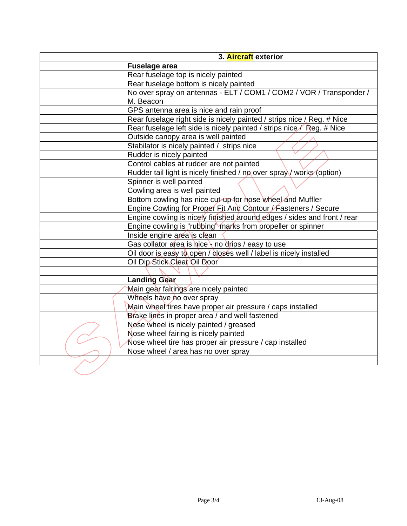| 3. Aircraft exterior                                                    |
|-------------------------------------------------------------------------|
| <b>Fuselage area</b>                                                    |
| Rear fuselage top is nicely painted                                     |
| Rear fuselage bottom is nicely painted                                  |
| No over spray on antennas - ELT / COM1 / COM2 / VOR / Transponder /     |
| M. Beacon                                                               |
| GPS antenna area is nice and rain proof                                 |
| Rear fuselage right side is nicely painted / strips nice / Reg. # Nice  |
| Rear fuselage left side is nicely painted / strips nice / Reg. # Nice   |
| Outside canopy area is well painted                                     |
| Stabilator is nicely painted / strips nice                              |
| Rudder is nicely painted                                                |
| Control cables at rudder are not painted                                |
| Rudder tail light is nicely finished / no over spray / works (option)   |
| Spinner is well painted                                                 |
| Cowling area is well painted                                            |
| Bottom cowling has nice cut-up for hose wheel and Muffler               |
| Engine Cowling for Proper Fit And Contour / Fasteners / Secure          |
| Engine cowling is nicely finished around edges / sides and front / rear |
| Engine cowling is "rubbing" marks from propeller or spinner             |
| Inside engine area is clean                                             |
| Gas collator area is nice $\frac{1}{2}$ no drips / easy to use          |
| Oil door is easy to open / closes well / label is nicely installed      |
| Oil Dip Stick Clear Oil Door                                            |
|                                                                         |
| <b>Landing Gear</b>                                                     |
| Main gear fairings are nicely painted                                   |
| Wheels have no over spray                                               |
| Main wheel tires have proper air pressure / caps installed              |
| Brake lines in proper area / and well fastened                          |
| Nose wheel is nicely painted / greased                                  |
| Nose wheel fairing is nicely painted                                    |
| Nose wheel tire has proper air pressure / cap installed                 |
| Nose wheel / area has no over spray                                     |
|                                                                         |
|                                                                         |
|                                                                         |